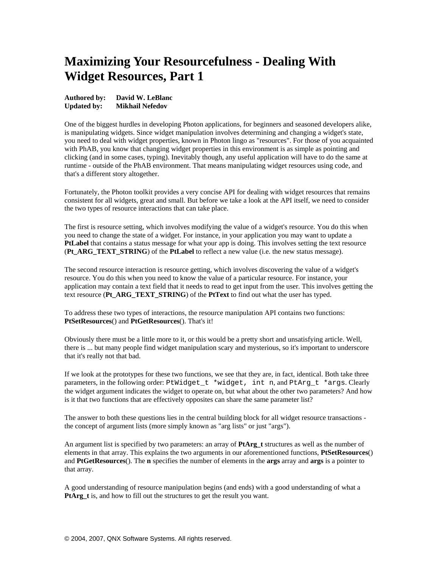# **Maximizing Your Resourcefulness - Dealing With Widget Resources, Part 1**

**Authored by: David W. LeBlanc Updated by: Mikhail Nefedov**

One of the biggest hurdles in developing Photon applications, for beginners and seasoned developers alike, is manipulating widgets. Since widget manipulation involves determining and changing a widget's state, you need to deal with widget properties, known in Photon lingo as "resources". For those of you acquainted with PhAB, you know that changing widget properties in this environment is as simple as pointing and clicking (and in some cases, typing). Inevitably though, any useful application will have to do the same at runtime - outside of the PhAB environment. That means manipulating widget resources using code, and that's a different story altogether.

Fortunately, the Photon toolkit provides a very concise API for dealing with widget resources that remains consistent for all widgets, great and small. But before we take a look at the API itself, we need to consider the two types of resource interactions that can take place.

The first is resource setting, which involves modifying the value of a widget's resource. You do this when you need to change the state of a widget. For instance, in your application you may want to update a PtLabel that contains a status message for what your app is doing. This involves setting the text resource (**Pt\_ARG\_TEXT\_STRING**) of the **PtLabel** to reflect a new value (i.e. the new status message).

The second resource interaction is resource getting, which involves discovering the value of a widget's resource. You do this when you need to know the value of a particular resource. For instance, your application may contain a text field that it needs to read to get input from the user. This involves getting the text resource (**Pt\_ARG\_TEXT\_STRING**) of the **PtText** to find out what the user has typed.

To address these two types of interactions, the resource manipulation API contains two functions: **PtSetResources**() and **PtGetResources**(). That's it!

Obviously there must be a little more to it, or this would be a pretty short and unsatisfying article. Well, there is ... but many people find widget manipulation scary and mysterious, so it's important to underscore that it's really not that bad.

If we look at the prototypes for these two functions, we see that they are, in fact, identical. Both take three parameters, in the following order: PtWidget\_t \*widget, int n, and PtArg\_t \*args. Clearly the widget argument indicates the widget to operate on, but what about the other two parameters? And how is it that two functions that are effectively opposites can share the same parameter list?

The answer to both these questions lies in the central building block for all widget resource transactions the concept of argument lists (more simply known as "arg lists" or just "args").

An argument list is specified by two parameters: an array of **PtArg\_t** structures as well as the number of elements in that array. This explains the two arguments in our aforementioned functions, **PtSetResources**() and **PtGetResources**(). The **n** specifies the number of elements in the **args** array and **args** is a pointer to that array.

A good understanding of resource manipulation begins (and ends) with a good understanding of what a **PtArg** t is, and how to fill out the structures to get the result you want.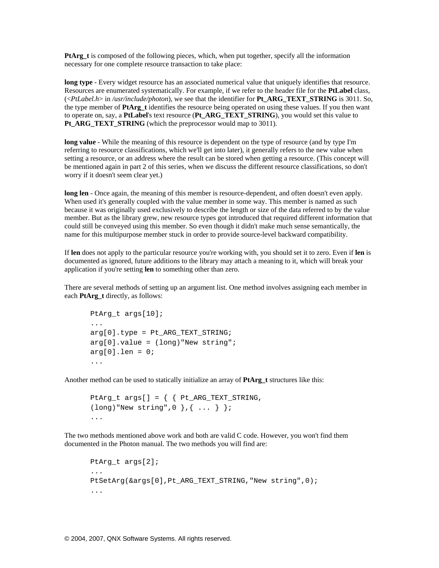**PtArg\_t** is composed of the following pieces, which, when put together, specify all the information necessary for one complete resource transaction to take place:

**long type** - Every widget resource has an associated numerical value that uniquely identifies that resource. Resources are enumerated systematically. For example, if we refer to the header file for the **PtLabel** class, (<*PtLabel.h*> in */usr/include/photon*), we see that the identifier for **Pt\_ARG\_TEXT\_STRING** is 3011. So, the type member of **PtArg\_t** identifies the resource being operated on using these values. If you then want to operate on, say, a **PtLabel**'s text resource (**Pt\_ARG\_TEXT\_STRING**), you would set this value to **Pt\_ARG\_TEXT\_STRING** (which the preprocessor would map to 3011).

long value - While the meaning of this resource is dependent on the type of resource (and by type I'm referring to resource classifications, which we'll get into later), it generally refers to the new value when setting a resource, or an address where the result can be stored when getting a resource. (This concept will be mentioned again in part 2 of this series, when we discuss the different resource classifications, so don't worry if it doesn't seem clear yet.)

**long len** - Once again, the meaning of this member is resource-dependent, and often doesn't even apply. When used it's generally coupled with the value member in some way. This member is named as such because it was originally used exclusively to describe the length or size of the data referred to by the value member. But as the library grew, new resource types got introduced that required different information that could still be conveyed using this member. So even though it didn't make much sense semantically, the name for this multipurpose member stuck in order to provide source-level backward compatibility.

If **len** does not apply to the particular resource you're working with, you should set it to zero. Even if **len** is documented as ignored, future additions to the library may attach a meaning to it, which will break your application if you're setting **len** to something other than zero.

There are several methods of setting up an argument list. One method involves assigning each member in each **PtArg\_t** directly, as follows:

```
PtArg t args[10];
... 
arg[0].type = Pt ARG TEXT STRING;
arg[0].value = (long)"New string";
arg[0].len = 0;...
```
Another method can be used to statically initialize an array of **PtArg\_t** structures like this:

```
PtArg_t args[] = { { Pt_ARG_TEXT_STRING, 
(long) "New string", 0 }, \{ \ldots \} };
...
```
The two methods mentioned above work and both are valid C code. However, you won't find them documented in the Photon manual. The two methods you will find are:

```
PtArg_t args[2]; 
... 
PtSetArg(&args[0], Pt ARG TEXT STRING, "New string", 0);
...
```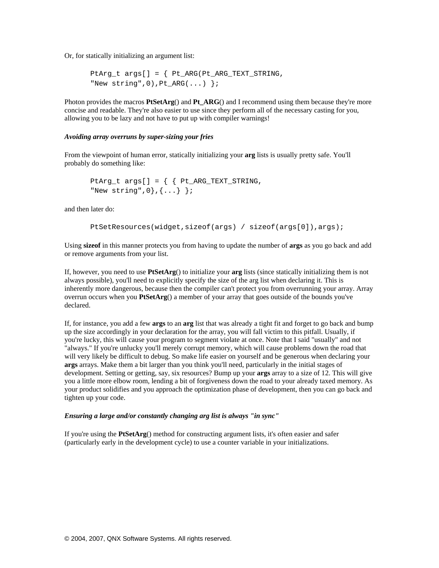Or, for statically initializing an argument list:

```
PtArg t args[] = { Pt_ARG(Pt_ARG_TEXT_STRING,
"New string", 0), Pt ARG(...) };
```
Photon provides the macros **PtSetArg**() and **Pt\_ARG**() and I recommend using them because they're more concise and readable. They're also easier to use since they perform all of the necessary casting for you, allowing you to be lazy and not have to put up with compiler warnings!

### *Avoiding array overruns by super-sizing your fries*

From the viewpoint of human error, statically initializing your **arg** lists is usually pretty safe. You'll probably do something like:

```
PtArg_t args[] = { { Pt_ARG_TEXT_STRING, 
"New string", 0}, \{... \}};
```
and then later do:

```
PtSetResources(widget,sizeof(args) / sizeof(args[0]),args);
```
Using **sizeof** in this manner protects you from having to update the number of **args** as you go back and add or remove arguments from your list.

If, however, you need to use **PtSetArg**() to initialize your **arg** lists (since statically initializing them is not always possible), you'll need to explicitly specify the size of the arg list when declaring it. This is inherently more dangerous, because then the compiler can't protect you from overrunning your array. Array overrun occurs when you **PtSetArg**() a member of your array that goes outside of the bounds you've declared.

If, for instance, you add a few **args** to an **arg** list that was already a tight fit and forget to go back and bump up the size accordingly in your declaration for the array, you will fall victim to this pitfall. Usually, if you're lucky, this will cause your program to segment violate at once. Note that I said "usually" and not "always." If you're unlucky you'll merely corrupt memory, which will cause problems down the road that will very likely be difficult to debug. So make life easier on yourself and be generous when declaring your **args** arrays. Make them a bit larger than you think you'll need, particularly in the initial stages of development. Setting or getting, say, six resources? Bump up your **args** array to a size of 12. This will give you a little more elbow room, lending a bit of forgiveness down the road to your already taxed memory. As your product solidifies and you approach the optimization phase of development, then you can go back and tighten up your code.

#### *Ensuring a large and/or constantly changing arg list is always "in sync"*

If you're using the **PtSetArg**() method for constructing argument lists, it's often easier and safer (particularly early in the development cycle) to use a counter variable in your initializations.